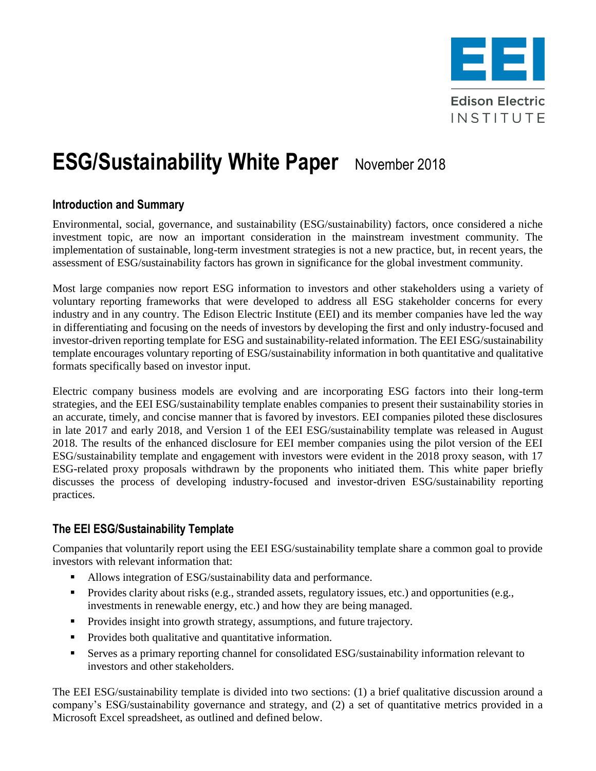

# **ESG/Sustainability White Paper** November <sup>2018</sup>

# **Introduction and Summary**

Environmental, social, governance, and sustainability (ESG/sustainability) factors, once considered a niche investment topic, are now an important consideration in the mainstream investment community. The implementation of sustainable, long-term investment strategies is not a new practice, but, in recent years, the assessment of ESG/sustainability factors has grown in significance for the global investment community.

Most large companies now report ESG information to investors and other stakeholders using a variety of voluntary reporting frameworks that were developed to address all ESG stakeholder concerns for every industry and in any country. The Edison Electric Institute (EEI) and its member companies have led the way in differentiating and focusing on the needs of investors by developing the first and only industry-focused and investor-driven reporting template for ESG and sustainability-related information. The EEI ESG/sustainability template encourages voluntary reporting of ESG/sustainability information in both quantitative and qualitative formats specifically based on investor input.

Electric company business models are evolving and are incorporating ESG factors into their long-term strategies, and the EEI ESG/sustainability template enables companies to present their sustainability stories in an accurate, timely, and concise manner that is favored by investors. EEI companies piloted these disclosures in late 2017 and early 2018, and Version 1 of the EEI ESG/sustainability template was released in August 2018. The results of the enhanced disclosure for EEI member companies using the pilot version of the EEI ESG/sustainability template and engagement with investors were evident in the 2018 proxy season, with 17 ESG-related proxy proposals withdrawn by the proponents who initiated them. This white paper briefly discusses the process of developing industry-focused and investor-driven ESG/sustainability reporting practices.

## **The EEI ESG/Sustainability Template**

Companies that voluntarily report using the EEI ESG/sustainability template share a common goal to provide investors with relevant information that:

- Allows integration of ESG/sustainability data and performance.
- Provides clarity about risks (e.g., stranded assets, regulatory issues, etc.) and opportunities (e.g., investments in renewable energy, etc.) and how they are being managed.
- Provides insight into growth strategy, assumptions, and future trajectory.
- Provides both qualitative and quantitative information.
- Serves as a primary reporting channel for consolidated ESG/sustainability information relevant to investors and other stakeholders.

The EEI ESG/sustainability template is divided into two sections: (1) a brief qualitative discussion around a company's ESG/sustainability governance and strategy, and (2) a set of quantitative metrics provided in a Microsoft Excel spreadsheet, as outlined and defined below.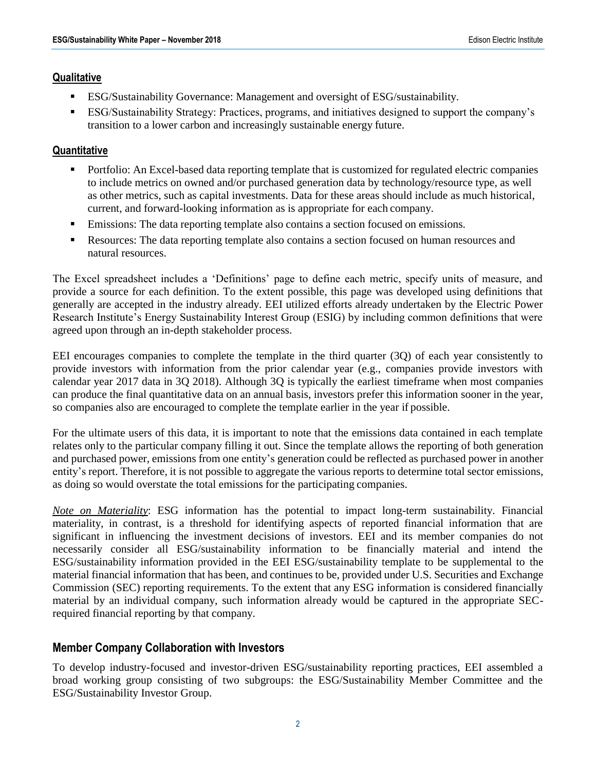#### **Qualitative**

- ESG/Sustainability Governance: Management and oversight of ESG/sustainability.
- ESG/Sustainability Strategy: Practices, programs, and initiatives designed to support the company's transition to a lower carbon and increasingly sustainable energy future.

#### **Quantitative**

- Portfolio: An Excel-based data reporting template that is customized for regulated electric companies to include metrics on owned and/or purchased generation data by technology/resource type, as well as other metrics, such as capital investments. Data for these areas should include as much historical, current, and forward-looking information as is appropriate for each company.
- Emissions: The data reporting template also contains a section focused on emissions.
- Resources: The data reporting template also contains a section focused on human resources and natural resources.

The Excel spreadsheet includes a 'Definitions' page to define each metric, specify units of measure, and provide a source for each definition. To the extent possible, this page was developed using definitions that generally are accepted in the industry already. EEI utilized efforts already undertaken by the Electric Power Research Institute's Energy Sustainability Interest Group (ESIG) by including common definitions that were agreed upon through an in-depth stakeholder process.

EEI encourages companies to complete the template in the third quarter (3Q) of each year consistently to provide investors with information from the prior calendar year (e.g., companies provide investors with calendar year 2017 data in 3Q 2018). Although 3Q is typically the earliest timeframe when most companies can produce the final quantitative data on an annual basis, investors prefer this information sooner in the year, so companies also are encouraged to complete the template earlier in the year if possible.

For the ultimate users of this data, it is important to note that the emissions data contained in each template relates only to the particular company filling it out. Since the template allows the reporting of both generation and purchased power, emissions from one entity's generation could be reflected as purchased power in another entity's report. Therefore, it is not possible to aggregate the various reports to determine total sector emissions, as doing so would overstate the total emissions for the participating companies.

*Note on Materiality*: ESG information has the potential to impact long-term sustainability. Financial materiality, in contrast, is a threshold for identifying aspects of reported financial information that are significant in influencing the investment decisions of investors. EEI and its member companies do not necessarily consider all ESG/sustainability information to be financially material and intend the ESG/sustainability information provided in the EEI ESG/sustainability template to be supplemental to the material financial information that has been, and continues to be, provided under U.S. Securities and Exchange Commission (SEC) reporting requirements. To the extent that any ESG information is considered financially material by an individual company, such information already would be captured in the appropriate SECrequired financial reporting by that company.

## **Member Company Collaboration with Investors**

To develop industry-focused and investor-driven ESG/sustainability reporting practices, EEI assembled a broad working group consisting of two subgroups: the ESG/Sustainability Member Committee and the ESG/Sustainability Investor Group.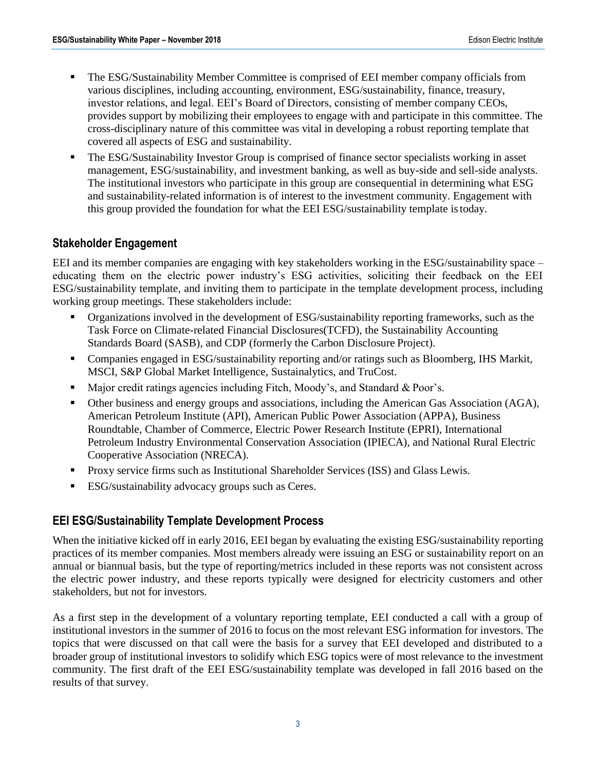- The ESG/Sustainability Member Committee is comprised of EEI member company officials from various disciplines, including accounting, environment, ESG/sustainability, finance, treasury, investor relations, and legal. EEI's Board of Directors, consisting of member company CEOs, provides support by mobilizing their employees to engage with and participate in this committee. The cross-disciplinary nature of this committee was vital in developing a robust reporting template that covered all aspects of ESG and sustainability.
- The ESG/Sustainability Investor Group is comprised of finance sector specialists working in asset management, ESG/sustainability, and investment banking, as well as buy-side and sell-side analysts. The institutional investors who participate in this group are consequential in determining what ESG and sustainability-related information is of interest to the investment community. Engagement with this group provided the foundation for what the EEI ESG/sustainability template istoday.

# **Stakeholder Engagement**

EEI and its member companies are engaging with key stakeholders working in the ESG/sustainability space – educating them on the electric power industry's ESG activities, soliciting their feedback on the EEI ESG/sustainability template, and inviting them to participate in the template development process, including working group meetings. These stakeholders include:

- Organizations involved in the development of ESG/sustainability reporting frameworks, such as the Task Force on Climate-related Financial Disclosures(TCFD), the Sustainability Accounting Standards Board (SASB), and CDP (formerly the Carbon Disclosure Project).
- Companies engaged in ESG/sustainability reporting and/or ratings such as Bloomberg, IHS Markit, MSCI, S&P Global Market Intelligence, Sustainalytics, and TruCost.
- Major credit ratings agencies including Fitch, Moody's, and Standard  $& Poor's$ .
- Other business and energy groups and associations, including the American Gas Association (AGA), American Petroleum Institute (API), American Public Power Association (APPA), Business Roundtable, Chamber of Commerce, Electric Power Research Institute (EPRI), International Petroleum Industry Environmental Conservation Association (IPIECA), and National Rural Electric Cooperative Association (NRECA).
- Proxy service firms such as Institutional Shareholder Services (ISS) and Glass Lewis.
- ESG/sustainability advocacy groups such as Ceres.

## **EEI ESG/Sustainability Template Development Process**

When the initiative kicked off in early 2016, EEI began by evaluating the existing ESG/sustainability reporting practices of its member companies. Most members already were issuing an ESG or sustainability report on an annual or biannual basis, but the type of reporting/metrics included in these reports was not consistent across the electric power industry, and these reports typically were designed for electricity customers and other stakeholders, but not for investors.

As a first step in the development of a voluntary reporting template, EEI conducted a call with a group of institutional investors in the summer of 2016 to focus on the most relevant ESG information for investors. The topics that were discussed on that call were the basis for a survey that EEI developed and distributed to a broader group of institutional investors to solidify which ESG topics were of most relevance to the investment community. The first draft of the EEI ESG/sustainability template was developed in fall 2016 based on the results of that survey.